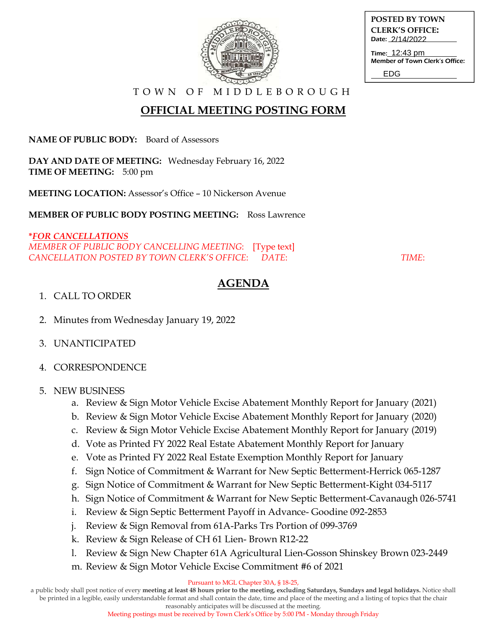

| POSTED BY TOWN         |
|------------------------|
| <b>CLERK'S OFFICE:</b> |
| Date: 2/14/2022        |
|                        |

Time: 12:43 pm Member of Town Clerk's Office:

EDG

T O W N O F M I D D L E B O R O U G H

## **OFFICIAL MEETING POSTING FORM**

**NAME OF PUBLIC BODY:** Board of Assessors

**DAY AND DATE OF MEETING:** Wednesday February 16, 2022 **TIME OF MEETING:** 5:00 pm

**MEETING LOCATION:** Assessor's Office – 10 Nickerson Avenue

**MEMBER OF PUBLIC BODY POSTING MEETING:** Ross Lawrence

### **\****FOR CANCELLATIONS*

*MEMBER OF PUBLIC BODY CANCELLING MEETING*: [Type text] *CANCELLATION POSTED BY TOWN CLERK'S OFFICE*: *DATE*: *TIME*:

### **AGENDA**

#### 1. CALL TO ORDER

- 2. Minutes from Wednesday January 19, 2022
- 3. UNANTICIPATED
- 4. CORRESPONDENCE

#### 5. NEW BUSINESS

- a. Review & Sign Motor Vehicle Excise Abatement Monthly Report for January (2021)
- b. Review & Sign Motor Vehicle Excise Abatement Monthly Report for January (2020)
- c. Review & Sign Motor Vehicle Excise Abatement Monthly Report for January (2019)
- d. Vote as Printed FY 2022 Real Estate Abatement Monthly Report for January
- e. Vote as Printed FY 2022 Real Estate Exemption Monthly Report for January
- f. Sign Notice of Commitment & Warrant for New Septic Betterment-Herrick 065-1287
- g. Sign Notice of Commitment & Warrant for New Septic Betterment-Kight 034-5117
- h. Sign Notice of Commitment & Warrant for New Septic Betterment-Cavanaugh 026-5741
- i. Review & Sign Septic Betterment Payoff in Advance- Goodine 092-2853
- j. Review & Sign Removal from 61A-Parks Trs Portion of 099-3769
- k. Review & Sign Release of CH 61 Lien- Brown R12-22
- l. Review & Sign New Chapter 61A Agricultural Lien-Gosson Shinskey Brown 023-2449
- m. Review & Sign Motor Vehicle Excise Commitment #6 of 2021

Pursuant to MGL Chapter 30A, § 18-25,

a public body shall post notice of every **meeting at least 48 hours prior to the meeting, excluding Saturdays, Sundays and legal holidays.** Notice shall be printed in a legible, easily understandable format and shall contain the date, time and place of the meeting and a listing of topics that the chair

reasonably anticipates will be discussed at the meeting.